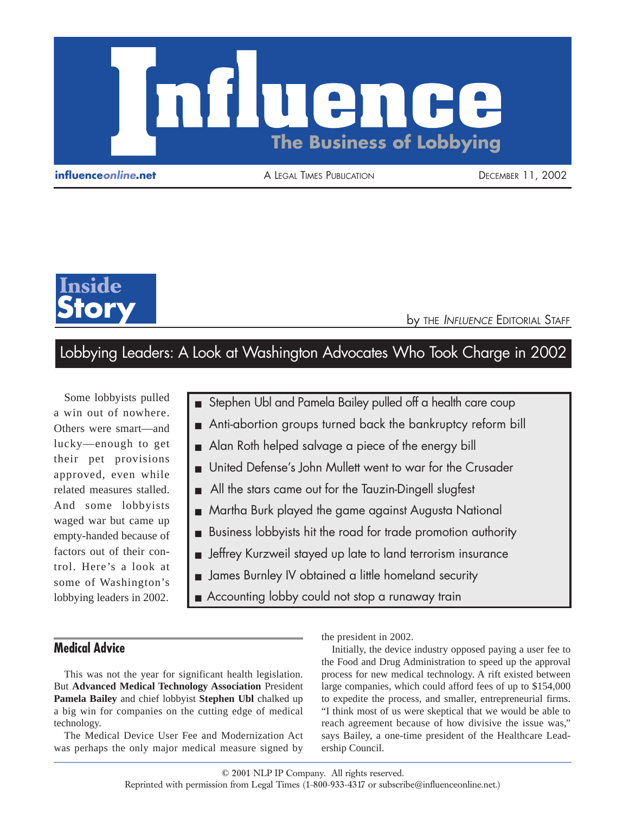

**influence***online***.net** A LEGAL TIMES PUBLICATION DECEMBER 11, 2002



**by THE INFLUENCE EDITORIAL STAFF** 

# Lobbying Leaders: A Look at Washington Advocates Who Took Charge in 2002

Some lobbyists pulled a win out of nowhere. Others were smart—and lucky—enough to get their pet provisions approved, even while related measures stalled. And some lobbyists waged war but came up empty-handed because of factors out of their control. Here's a look at some of Washington's lobbying leaders in 2002.

- Stephen Ubl and Pamela Bailey pulled off a health care coup
- Anti-abortion groups turned back the bankruptcy reform bill
- Alan Roth helped salvage a piece of the energy bill
- United Defense's John Mullett went to war for the Crusader
- All the stars came out for the Tauzin-Dingell slugfest
- Martha Burk played the game against Augusta National
- Business lobbyists hit the road for trade promotion authority
- Jeffrey Kurzweil stayed up late to land terrorism insurance
- James Burnley IV obtained a little homeland security
- Accounting lobby could not stop a runaway train

# **Medical Advice**

This was not the year for significant health legislation. But **Advanced Medical Technology Association** President **Pamela Bailey** and chief lobbyist **Stephen Ubl** chalked up a big win for companies on the cutting edge of medical technology.

The Medical Device User Fee and Modernization Act was perhaps the only major medical measure signed by

the president in 2002.

Initially, the device industry opposed paying a user fee to the Food and Drug Administration to speed up the approval process for new medical technology. A rift existed between large companies, which could afford fees of up to \$154,000 to expedite the process, and smaller, entrepreneurial firms. "I think most of us were skeptical that we would be able to reach agreement because of how divisive the issue was," says Bailey, a one-time president of the Healthcare Leadership Council.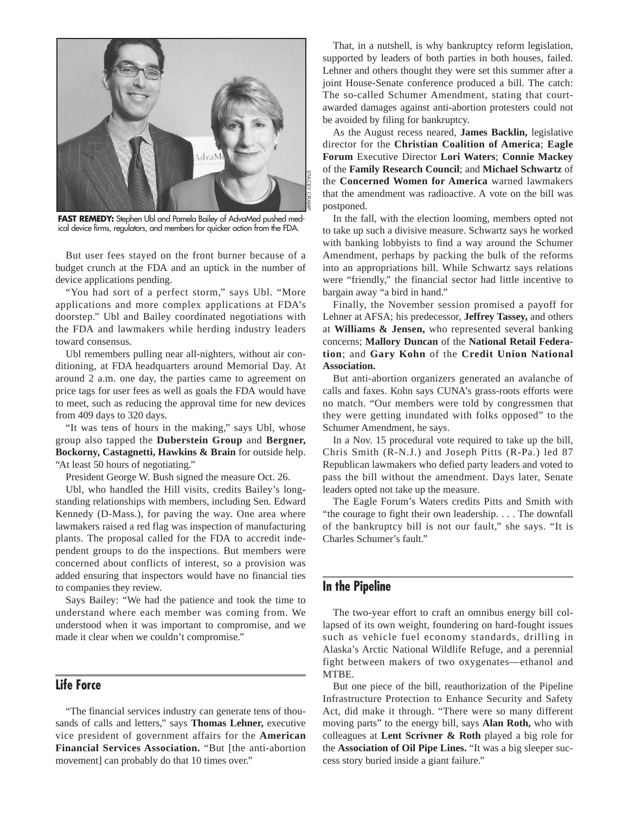

FAST REMEDY: Stephen Ubl and Pamela Bailey of AdvaMed pushed medical device firms, regulators, and members for quicker action from the FDA.

But user fees stayed on the front burner because of a budget crunch at the FDA and an uptick in the number of device applications pending.

"You had sort of a perfect storm," says Ubl. "More applications and more complex applications at FDA's doorstep." Ubl and Bailey coordinated negotiations with the FDA and lawmakers while herding industry leaders toward consensus.

Ubl remembers pulling near all-nighters, without air conditioning, at FDA headquarters around Memorial Day. At around 2 a.m. one day, the parties came to agreement on price tags for user fees as well as goals the FDA would have to meet, such as reducing the approval time for new devices from 409 days to 320 days.

"It was tens of hours in the making," says Ubl, whose group also tapped the **Duberstein Group** and **Bergner, Bockorny, Castagnetti, Hawkins & Brain** for outside help. "At least 50 hours of negotiating."

President George W. Bush signed the measure Oct. 26.

Ubl, who handled the Hill visits, credits Bailey's longstanding relationships with members, including Sen. Edward Kennedy (D-Mass.), for paving the way. One area where lawmakers raised a red flag was inspection of manufacturing plants. The proposal called for the FDA to accredit independent groups to do the inspections. But members were concerned about conflicts of interest, so a provision was added ensuring that inspectors would have no financial ties to companies they review.

Says Bailey: "We had the patience and took the time to understand where each member was coming from. We understood when it was important to compromise, and we made it clear when we couldn't compromise."

# **Life Force**

"The financial services industry can generate tens of thousands of calls and letters," says **Thomas Lehner,** executive vice president of government affairs for the **American Financial Services Association.** "But [the anti-abortion movement] can probably do that 10 times over."

That, in a nutshell, is why bankruptcy reform legislation, supported by leaders of both parties in both houses, failed. Lehner and others thought they were set this summer after a joint House-Senate conference produced a bill. The catch: The so-called Schumer Amendment, stating that courtawarded damages against anti-abortion protesters could not be avoided by filing for bankruptcy.

As the August recess neared, **James Backlin,** legislative director for the **Christian Coalition of America**; **Eagle Forum** Executive Director **Lori Waters**; **Connie Mackey** of the **Family Research Council**; and **Michael Schwartz** of the **Concerned Women for America** warned lawmakers that the amendment was radioactive. A vote on the bill was postponed.

In the fall, with the election looming, members opted not to take up such a divisive measure. Schwartz says he worked with banking lobbyists to find a way around the Schumer Amendment, perhaps by packing the bulk of the reforms into an appropriations bill. While Schwartz says relations were "friendly," the financial sector had little incentive to bargain away "a bird in hand."

Finally, the November session promised a payoff for Lehner at AFSA; his predecessor, **Jeffrey Tassey,** and others at **Williams & Jensen,** who represented several banking concerns; **Mallory Duncan** of the **National Retail Federation**; and **Gary Kohn** of the **Credit Union National Association.**

But anti-abortion organizers generated an avalanche of calls and faxes. Kohn says CUNA's grass-roots efforts were no match. "Our members were told by congressmen that they were getting inundated with folks opposed" to the Schumer Amendment, he says.

In a Nov. 15 procedural vote required to take up the bill, Chris Smith (R-N.J.) and Joseph Pitts (R-Pa.) led 87 Republican lawmakers who defied party leaders and voted to pass the bill without the amendment. Days later, Senate leaders opted not take up the measure.

The Eagle Forum's Waters credits Pitts and Smith with "the courage to fight their own leadership. . . . The downfall of the bankruptcy bill is not our fault," she says. "It is Charles Schumer's fault."

#### **In the Pipeline**

The two-year effort to craft an omnibus energy bill collapsed of its own weight, foundering on hard-fought issues such as vehicle fuel economy standards, drilling in Alaska's Arctic National Wildlife Refuge, and a perennial fight between makers of two oxygenates—ethanol and MTBE.

But one piece of the bill, reauthorization of the Pipeline Infrastructure Protection to Enhance Security and Safety Act, did make it through. "There were so many different moving parts" to the energy bill, says **Alan Roth,** who with colleagues at **Lent Scrivner & Roth** played a big role for the **Association of Oil Pipe Lines.** "It was a big sleeper success story buried inside a giant failure."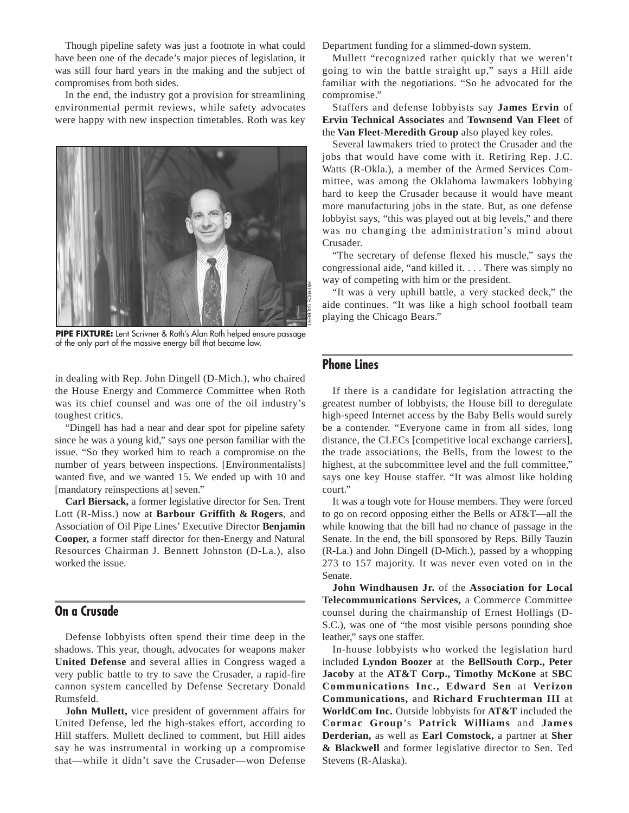Though pipeline safety was just a footnote in what could have been one of the decade's major pieces of legislation, it was still four hard years in the making and the subject of compromises from both sides.

In the end, the industry got a provision for streamlining environmental permit reviews, while safety advocates were happy with new inspection timetables. Roth was key



**PIPE FIXTURE:** Lent Scrivner & Roth's Alan Roth helped ensure passage of the only part of the massive energy bill that became law.

in dealing with Rep. John Dingell (D-Mich.), who chaired the House Energy and Commerce Committee when Roth was its chief counsel and was one of the oil industry's toughest critics.

"Dingell has had a near and dear spot for pipeline safety since he was a young kid," says one person familiar with the issue. "So they worked him to reach a compromise on the number of years between inspections. [Environmentalists] wanted five, and we wanted 15. We ended up with 10 and [mandatory reinspections at] seven."

**Carl Biersack,** a former legislative director for Sen. Trent Lott (R-Miss.) now at **Barbour Griffith & Rogers**, and Association of Oil Pipe Lines' Executive Director **Benjamin Cooper,** a former staff director for then-Energy and Natural Resources Chairman J. Bennett Johnston (D-La.), also worked the issue.

# **On a Crusade**

Defense lobbyists often spend their time deep in the shadows. This year, though, advocates for weapons maker **United Defense** and several allies in Congress waged a very public battle to try to save the Crusader, a rapid-fire cannon system cancelled by Defense Secretary Donald Rumsfeld.

**John Mullett,** vice president of government affairs for United Defense, led the high-stakes effort, according to Hill staffers. Mullett declined to comment, but Hill aides say he was instrumental in working up a compromise that—while it didn't save the Crusader—won Defense Department funding for a slimmed-down system.

Mullett "recognized rather quickly that we weren't going to win the battle straight up," says a Hill aide familiar with the negotiations. "So he advocated for the compromise."

Staffers and defense lobbyists say **James Ervin** of **Ervin Technical Associates** and **Townsend Van Fleet** of the **Van Fleet-Meredith Group** also played key roles.

Several lawmakers tried to protect the Crusader and the jobs that would have come with it. Retiring Rep. J.C. Watts (R-Okla.), a member of the Armed Services Committee, was among the Oklahoma lawmakers lobbying hard to keep the Crusader because it would have meant more manufacturing jobs in the state. But, as one defense lobbyist says, "this was played out at big levels," and there was no changing the administration's mind about Crusader.

"The secretary of defense flexed his muscle," says the congressional aide, "and killed it. . . . There was simply no way of competing with him or the president.

"It was a very uphill battle, a very stacked deck," the aide continues. "It was like a high school football team playing the Chicago Bears."

### **Phone Lines**

If there is a candidate for legislation attracting the greatest number of lobbyists, the House bill to deregulate high-speed Internet access by the Baby Bells would surely be a contender. "Everyone came in from all sides, long distance, the CLECs [competitive local exchange carriers], the trade associations, the Bells, from the lowest to the highest, at the subcommittee level and the full committee," says one key House staffer. "It was almost like holding court."

It was a tough vote for House members. They were forced to go on record opposing either the Bells or AT&T—all the while knowing that the bill had no chance of passage in the Senate. In the end, the bill sponsored by Reps. Billy Tauzin (R-La.) and John Dingell (D-Mich.), passed by a whopping 273 to 157 majority. It was never even voted on in the Senate.

**John Windhausen Jr.** of the **Association for Local Telecommunications Services,** a Commerce Committee counsel during the chairmanship of Ernest Hollings (D-S.C.), was one of "the most visible persons pounding shoe leather," says one staffer.

In-house lobbyists who worked the legislation hard included **Lyndon Boozer** at the **BellSouth Corp., Peter Jacoby** at the **AT&T Corp., Timothy McKone** at **SBC Communications Inc., Edward Sen** at **Verizon Communications,** and **Richard Fruchterman III** at **WorldCom Inc.** Outside lobbyists for **AT&T** included the **Cormac Group**'s **Patrick Williams** and **James Derderian,** as well as **Earl Comstock,** a partner at **Sher & Blackwell** and former legislative director to Sen. Ted Stevens (R-Alaska).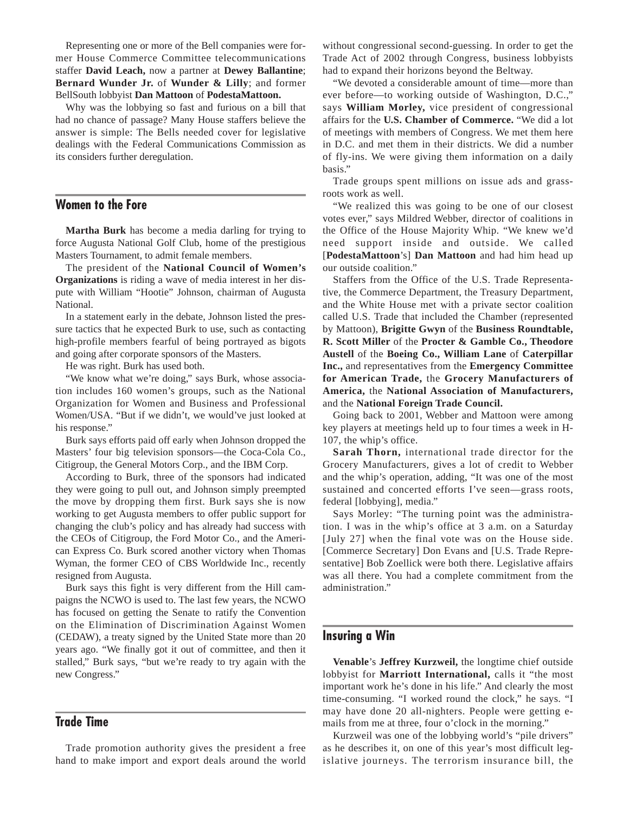Representing one or more of the Bell companies were former House Commerce Committee telecommunications staffer **David Leach,** now a partner at **Dewey Ballantine**; **Bernard Wunder Jr.** of **Wunder & Lilly**; and former BellSouth lobbyist **Dan Mattoon** of **PodestaMattoon.**

Why was the lobbying so fast and furious on a bill that had no chance of passage? Many House staffers believe the answer is simple: The Bells needed cover for legislative dealings with the Federal Communications Commission as its considers further deregulation.

## **Women to the Fore**

**Martha Burk** has become a media darling for trying to force Augusta National Golf Club, home of the prestigious Masters Tournament, to admit female members.

The president of the **National Council of Women's Organizations** is riding a wave of media interest in her dispute with William "Hootie" Johnson, chairman of Augusta National.

In a statement early in the debate, Johnson listed the pressure tactics that he expected Burk to use, such as contacting high-profile members fearful of being portrayed as bigots and going after corporate sponsors of the Masters.

He was right. Burk has used both.

"We know what we're doing," says Burk, whose association includes 160 women's groups, such as the National Organization for Women and Business and Professional Women/USA. "But if we didn't, we would've just looked at his response."

Burk says efforts paid off early when Johnson dropped the Masters' four big television sponsors—the Coca-Cola Co., Citigroup, the General Motors Corp., and the IBM Corp.

According to Burk, three of the sponsors had indicated they were going to pull out, and Johnson simply preempted the move by dropping them first. Burk says she is now working to get Augusta members to offer public support for changing the club's policy and has already had success with the CEOs of Citigroup, the Ford Motor Co., and the American Express Co. Burk scored another victory when Thomas Wyman, the former CEO of CBS Worldwide Inc., recently resigned from Augusta.

Burk says this fight is very different from the Hill campaigns the NCWO is used to. The last few years, the NCWO has focused on getting the Senate to ratify the Convention on the Elimination of Discrimination Against Women (CEDAW), a treaty signed by the United State more than 20 years ago. "We finally got it out of committee, and then it stalled," Burk says, "but we're ready to try again with the new Congress."

# **Trade Time**

Trade promotion authority gives the president a free hand to make import and export deals around the world

without congressional second-guessing. In order to get the Trade Act of 2002 through Congress, business lobbyists had to expand their horizons beyond the Beltway.

"We devoted a considerable amount of time—more than ever before—to working outside of Washington, D.C.," says **William Morley,** vice president of congressional affairs for the **U.S. Chamber of Commerce.** "We did a lot of meetings with members of Congress. We met them here in D.C. and met them in their districts. We did a number of fly-ins. We were giving them information on a daily basis."

Trade groups spent millions on issue ads and grassroots work as well.

"We realized this was going to be one of our closest votes ever," says Mildred Webber, director of coalitions in the Office of the House Majority Whip. "We knew we'd need support inside and outside. We called [**PodestaMattoon**'s] **Dan Mattoon** and had him head up our outside coalition."

Staffers from the Office of the U.S. Trade Representative, the Commerce Department, the Treasury Department, and the White House met with a private sector coalition called U.S. Trade that included the Chamber (represented by Mattoon), **Brigitte Gwyn** of the **Business Roundtable, R. Scott Miller** of the **Procter & Gamble Co., Theodore Austell** of the **Boeing Co., William Lane** of **Caterpillar Inc.,** and representatives from the **Emergency Committee for American Trade,** the **Grocery Manufacturers of America,** the **National Association of Manufacturers,** and the **National Foreign Trade Council.**

Going back to 2001, Webber and Mattoon were among key players at meetings held up to four times a week in H-107, the whip's office.

**Sarah Thorn,** international trade director for the Grocery Manufacturers, gives a lot of credit to Webber and the whip's operation, adding, "It was one of the most sustained and concerted efforts I've seen—grass roots, federal [lobbying], media."

Says Morley: "The turning point was the administration. I was in the whip's office at 3 a.m. on a Saturday [July 27] when the final vote was on the House side. [Commerce Secretary] Don Evans and [U.S. Trade Representative] Bob Zoellick were both there. Legislative affairs was all there. You had a complete commitment from the administration."

#### **Insuring a Win**

**Venable**'s **Jeffrey Kurzweil,** the longtime chief outside lobbyist for **Marriott International,** calls it "the most important work he's done in his life." And clearly the most time-consuming. "I worked round the clock," he says. "I may have done 20 all-nighters. People were getting emails from me at three, four o'clock in the morning."

Kurzweil was one of the lobbying world's "pile drivers" as he describes it, on one of this year's most difficult legislative journeys. The terrorism insurance bill, the